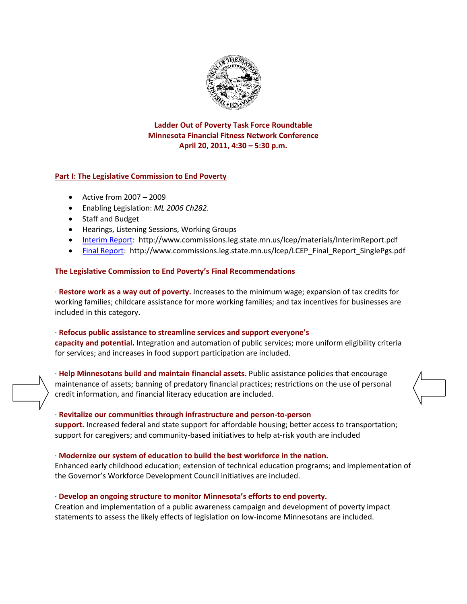

# **Ladder Out of Poverty Task Force Roundtable Minnesota Financial Fitness Network Conference April 20, 2011, 4:30 – 5:30 p.m.**

### **Part I: The Legislative Commission to End Poverty**

- Active from 2007 2009
- Enabling Legislation: *[ML 2006 Ch282](https://www.revisor.mn.gov/bin/getpub.php?type=law&year=2006&sn=0&num=282)*.
- Staff and Budget
- Hearings, Listening Sessions, Working Groups
- [Interim Report:](http://www.commissions.leg.state.mn.us/lcep/materials/InterimReport.pdf) <http://www.commissions.leg.state.mn.us/lcep/materials/InterimReport.pdf>
- [Final Report:](http://www.commissions.leg.state.mn.us/lcep/LCEP_Final_Report_SinglePgs.pdf) http://www.commissions.leg.state.mn.us/Icep/LCEP\_Final\_Report\_SinglePgs.pdf

#### **The Legislative Commission to End Poverty's Final Recommendations**

· **Restore work as a way out of poverty.** Increases to the minimum wage; expansion of tax credits for working families; childcare assistance for more working families; and tax incentives for businesses are included in this category.

### · **Refocus public assistance to streamline services and support everyone's capacity and potential.** Integration and automation of public services; more uniform eligibility criteria for services; and increases in food support participation are included.

· **Help Minnesotans build and maintain financial assets.** Public assistance policies that encourage maintenance of assets; banning of predatory financial practices; restrictions on the use of personal credit information, and financial literacy education are included.

#### · **Revitalize our communities through infrastructure and person-to-person**

**support.** Increased federal and state support for affordable housing; better access to transportation; support for caregivers; and community-based initiatives to help at-risk youth are included

#### · **Modernize our system of education to build the best workforce in the nation.**

Enhanced early childhood education; extension of technical education programs; and implementation of the Governor's Workforce Development Council initiatives are included.

#### · **Develop an ongoing structure to monitor Minnesota's efforts to end poverty.**

Creation and implementation of a public awareness campaign and development of poverty impact statements to assess the likely effects of legislation on low-income Minnesotans are included.